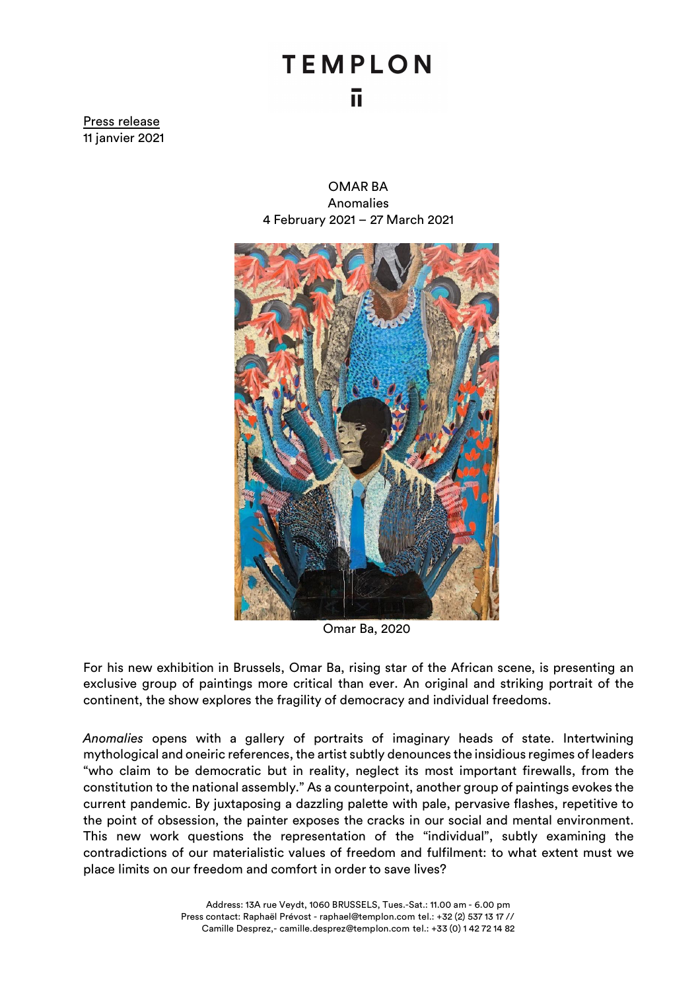## **TEMPLON** ū.

Press release 11 janvier 2021

> OMAR BA Anomalies 4 February 2021 – 27 March 2021



Omar Ba, 2020

For his new exhibition in Brussels, Omar Ba, rising star of the African scene, is presenting an exclusive group of paintings more critical than ever. An original and striking portrait of the continent, the show explores the fragility of democracy and individual freedoms.

*Anomalies* opens with a gallery of portraits of imaginary heads of state. Intertwining mythological and oneiric references, the artist subtly denounces the insidious regimes of leaders "who claim to be democratic but in reality, neglect its most important firewalls, from the constitution to the national assembly." As a counterpoint, another group of paintings evokes the current pandemic. By juxtaposing a dazzling palette with pale, pervasive flashes, repetitive to the point of obsession, the painter exposes the cracks in our social and mental environment. This new work questions the representation of the "individual", subtly examining the contradictions of our materialistic values of freedom and fulfilment: to what extent must we place limits on our freedom and comfort in order to save lives?